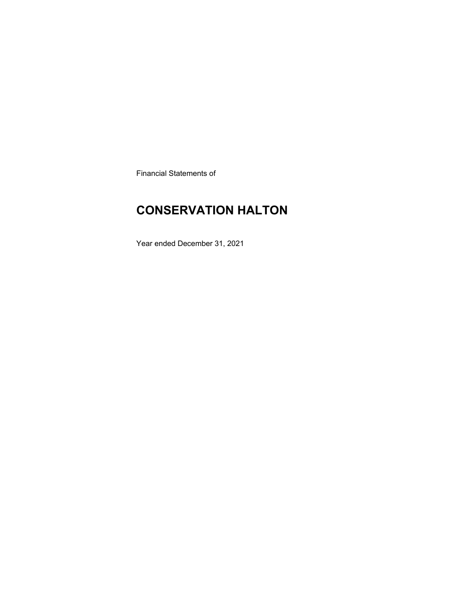Financial Statements of

# **CONSERVATION HALTON**

Year ended December 31, 2021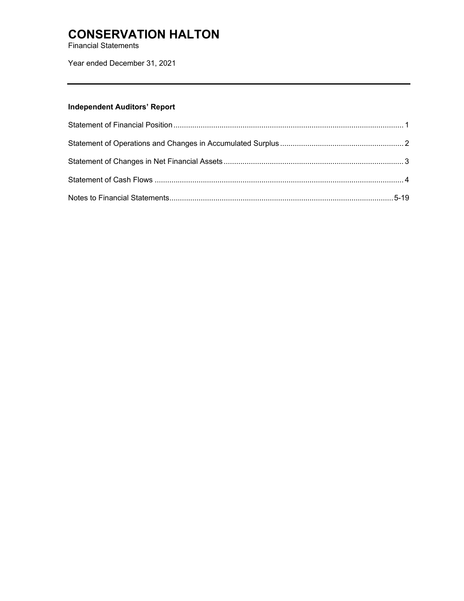Financial Statements

Year ended December 31, 2021

## **Independent Auditors' Report**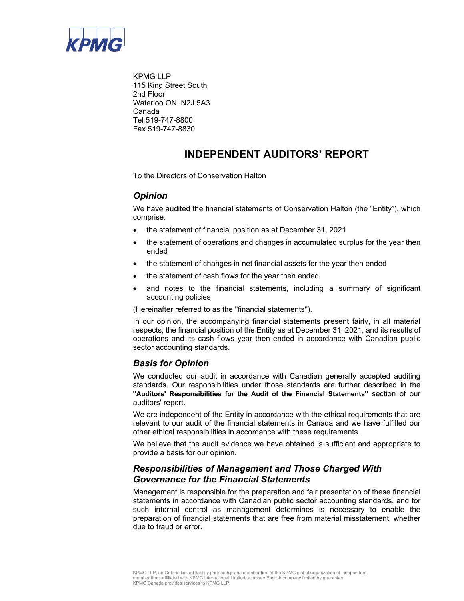

KPMG LLP 115 King Street South 2nd Floor Waterloo ON N2J 5A3 Canada Tel 519-747-8800 Fax 519-747-8830

## **INDEPENDENT AUDITORS' REPORT**

To the Directors of Conservation Halton

## *Opinion*

We have audited the financial statements of Conservation Halton (the "Entity"), which comprise:

- the statement of financial position as at December 31, 2021
- the statement of operations and changes in accumulated surplus for the year then ended
- the statement of changes in net financial assets for the year then ended
- the statement of cash flows for the year then ended
- and notes to the financial statements, including a summary of significant accounting policies

(Hereinafter referred to as the ''financial statements'').

In our opinion, the accompanying financial statements present fairly, in all material respects, the financial position of the Entity as at December 31, 2021, and its results of operations and its cash flows year then ended in accordance with Canadian public sector accounting standards.

## *Basis for Opinion*

We conducted our audit in accordance with Canadian generally accepted auditing standards. Our responsibilities under those standards are further described in the **''Auditors' Responsibilities for the Audit of the Financial Statements''** section of our auditors' report.

We are independent of the Entity in accordance with the ethical requirements that are relevant to our audit of the financial statements in Canada and we have fulfilled our other ethical responsibilities in accordance with these requirements.

We believe that the audit evidence we have obtained is sufficient and appropriate to provide a basis for our opinion.

## *Responsibilities of Management and Those Charged With Governance for the Financial Statements*

Management is responsible for the preparation and fair presentation of these financial statements in accordance with Canadian public sector accounting standards, and for such internal control as management determines is necessary to enable the preparation of financial statements that are free from material misstatement, whether due to fraud or error.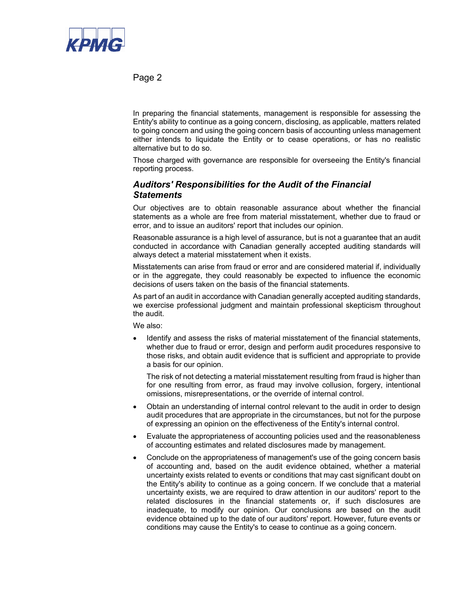

Page 2

In preparing the financial statements, management is responsible for assessing the Entity's ability to continue as a going concern, disclosing, as applicable, matters related to going concern and using the going concern basis of accounting unless management either intends to liquidate the Entity or to cease operations, or has no realistic alternative but to do so.

Those charged with governance are responsible for overseeing the Entity's financial reporting process.

### *Auditors' Responsibilities for the Audit of the Financial Statements*

Our objectives are to obtain reasonable assurance about whether the financial statements as a whole are free from material misstatement, whether due to fraud or error, and to issue an auditors' report that includes our opinion.

Reasonable assurance is a high level of assurance, but is not a guarantee that an audit conducted in accordance with Canadian generally accepted auditing standards will always detect a material misstatement when it exists.

Misstatements can arise from fraud or error and are considered material if, individually or in the aggregate, they could reasonably be expected to influence the economic decisions of users taken on the basis of the financial statements.

As part of an audit in accordance with Canadian generally accepted auditing standards, we exercise professional judgment and maintain professional skepticism throughout the audit.

We also:

 Identify and assess the risks of material misstatement of the financial statements, whether due to fraud or error, design and perform audit procedures responsive to those risks, and obtain audit evidence that is sufficient and appropriate to provide a basis for our opinion.

The risk of not detecting a material misstatement resulting from fraud is higher than for one resulting from error, as fraud may involve collusion, forgery, intentional omissions, misrepresentations, or the override of internal control.

- Obtain an understanding of internal control relevant to the audit in order to design audit procedures that are appropriate in the circumstances, but not for the purpose of expressing an opinion on the effectiveness of the Entity's internal control.
- Evaluate the appropriateness of accounting policies used and the reasonableness of accounting estimates and related disclosures made by management.
- Conclude on the appropriateness of management's use of the going concern basis of accounting and, based on the audit evidence obtained, whether a material uncertainty exists related to events or conditions that may cast significant doubt on the Entity's ability to continue as a going concern. If we conclude that a material uncertainty exists, we are required to draw attention in our auditors' report to the related disclosures in the financial statements or, if such disclosures are inadequate, to modify our opinion. Our conclusions are based on the audit evidence obtained up to the date of our auditors' report. However, future events or conditions may cause the Entity's to cease to continue as a going concern.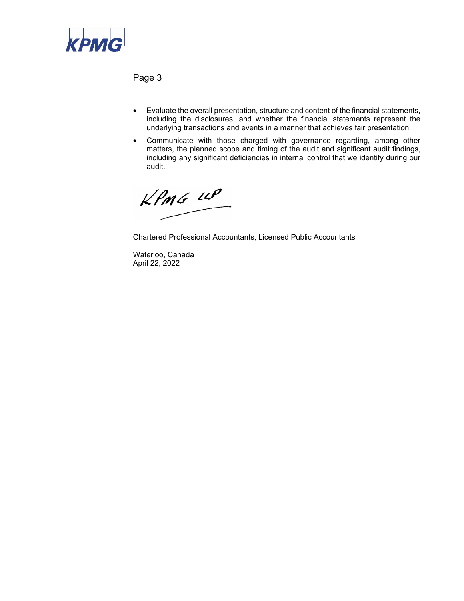

Page 3

- Evaluate the overall presentation, structure and content of the financial statements, including the disclosures, and whether the financial statements represent the underlying transactions and events in a manner that achieves fair presentation
- Communicate with those charged with governance regarding, among other matters, the planned scope and timing of the audit and significant audit findings, including any significant deficiencies in internal control that we identify during our audit.

 $kPMS$   $\mu P$ 

Chartered Professional Accountants, Licensed Public Accountants

Waterloo, Canada April 22, 2022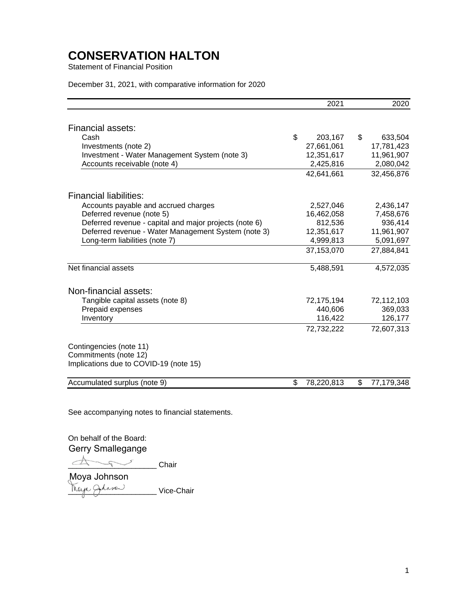Statement of Financial Position

#### December 31, 2021, with comparative information for 2020

|                                                        | 2021             | 2020             |
|--------------------------------------------------------|------------------|------------------|
|                                                        |                  |                  |
| Financial assets:                                      |                  |                  |
| Cash                                                   | \$<br>203,167    | \$<br>633,504    |
| Investments (note 2)                                   | 27,661,061       | 17,781,423       |
| Investment - Water Management System (note 3)          | 12,351,617       | 11,961,907       |
| Accounts receivable (note 4)                           | 2,425,816        | 2,080,042        |
|                                                        | 42,641,661       | 32,456,876       |
| <b>Financial liabilities:</b>                          |                  |                  |
| Accounts payable and accrued charges                   | 2,527,046        | 2,436,147        |
| Deferred revenue (note 5)                              | 16,462,058       | 7,458,676        |
| Deferred revenue - capital and major projects (note 6) | 812,536          | 936,414          |
| Deferred revenue - Water Management System (note 3)    | 12,351,617       | 11,961,907       |
| Long-term liabilities (note 7)                         | 4,999,813        | 5,091,697        |
|                                                        | 37,153,070       | 27,884,841       |
| Net financial assets                                   | 5,488,591        | 4,572,035        |
| Non-financial assets:                                  |                  |                  |
| Tangible capital assets (note 8)                       | 72,175,194       | 72,112,103       |
| Prepaid expenses                                       | 440,606          | 369,033          |
| Inventory                                              | 116,422          | 126,177          |
|                                                        | 72,732,222       | 72,607,313       |
| Contingencies (note 11)                                |                  |                  |
| Commitments (note 12)                                  |                  |                  |
| Implications due to COVID-19 (note 15)                 |                  |                  |
| Accumulated surplus (note 9)                           | \$<br>78,220,813 | \$<br>77,179,348 |

See accompanying notes to financial statements.

On behalf of the Board: Gerry Smallegange

 $\triangle$ 

<u>Maya Gaasas Vice-Chair</u> Moya Johnson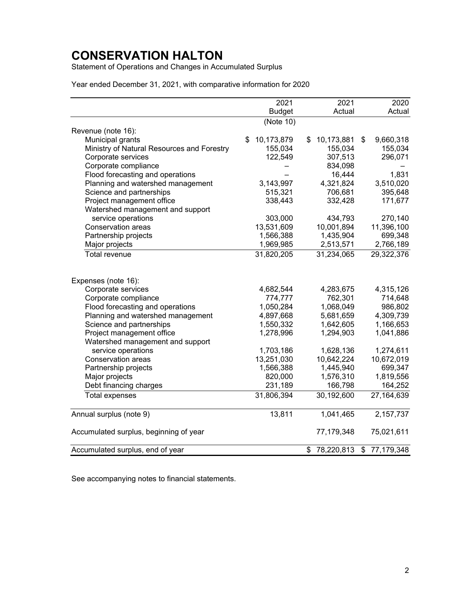Statement of Operations and Changes in Accumulated Surplus

Year ended December 31, 2021, with comparative information for 2020

|                                                        | 2021             | 2021             | 2020                  |
|--------------------------------------------------------|------------------|------------------|-----------------------|
|                                                        | <b>Budget</b>    | Actual           | Actual                |
|                                                        | (Note 10)        |                  |                       |
| Revenue (note 16):                                     |                  |                  |                       |
| Municipal grants                                       | \$<br>10,173,879 | \$<br>10,173,881 | \$<br>9,660,318       |
| Ministry of Natural Resources and Forestry             | 155,034          | 155,034          | 155,034               |
| Corporate services                                     | 122,549          | 307,513          | 296,071               |
| Corporate compliance                                   |                  | 834,098          |                       |
| Flood forecasting and operations                       |                  | 16,444           | 1,831                 |
| Planning and watershed management                      | 3,143,997        | 4,321,824        | 3,510,020             |
| Science and partnerships                               | 515,321          | 706,681          | 395,648               |
| Project management office                              | 338,443          | 332,428          | 171,677               |
| Watershed management and support                       |                  |                  |                       |
| service operations                                     | 303,000          | 434,793          | 270,140               |
| Conservation areas                                     | 13,531,609       | 10,001,894       | 11,396,100            |
| Partnership projects                                   | 1,566,388        | 1,435,904        | 699,348               |
| Major projects                                         | 1,969,985        | 2,513,571        | 2,766,189             |
| Total revenue                                          | 31,820,205       | 31,234,065       | 29,322,376            |
|                                                        |                  |                  |                       |
| Expenses (note 16):<br>Corporate services              | 4,682,544        | 4,283,675        | 4,315,126             |
|                                                        | 774,777          | 762,301          |                       |
| Corporate compliance                                   |                  |                  | 714,648               |
| Flood forecasting and operations                       | 1,050,284        | 1,068,049        | 986,802               |
| Planning and watershed management                      | 4,897,668        | 5,681,659        | 4,309,739             |
| Science and partnerships                               | 1,550,332        | 1,642,605        | 1,166,653             |
| Project management office                              | 1,278,996        | 1,294,903        | 1,041,886             |
| Watershed management and support<br>service operations | 1,703,186        | 1,628,136        | 1,274,611             |
| Conservation areas                                     | 13,251,030       | 10,642,224       |                       |
| Partnership projects                                   | 1,566,388        | 1,445,940        | 10,672,019<br>699,347 |
| Major projects                                         | 820,000          | 1,576,310        | 1,819,556             |
| Debt financing charges                                 | 231,189          | 166,798          | 164,252               |
| <b>Total expenses</b>                                  | 31,806,394       | 30,192,600       | 27,164,639            |
|                                                        |                  |                  |                       |
| Annual surplus (note 9)                                | 13,811           | 1,041,465        | 2,157,737             |
| Accumulated surplus, beginning of year                 |                  | 77,179,348       | 75,021,611            |
| Accumulated surplus, end of year                       |                  | \$<br>78,220,813 | \$<br>77,179,348      |

See accompanying notes to financial statements.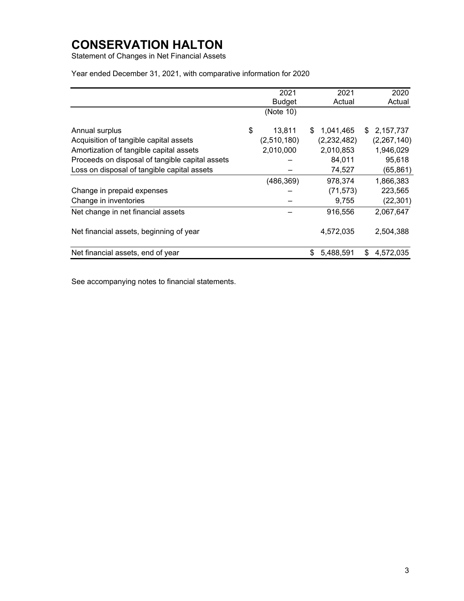Statement of Changes in Net Financial Assets

Year ended December 31, 2021, with comparative information for 2020

|                                                 | 2021          |     | 2021        | 2020            |
|-------------------------------------------------|---------------|-----|-------------|-----------------|
|                                                 | <b>Budget</b> |     | Actual      | Actual          |
|                                                 | (Note 10)     |     |             |                 |
| Annual surplus                                  | \$<br>13.811  | \$. | 1,041,465   | \$<br>2,157,737 |
| Acquisition of tangible capital assets          | (2,510,180)   |     | (2,232,482) | (2,267,140)     |
| Amortization of tangible capital assets         | 2,010,000     |     | 2,010,853   | 1,946,029       |
| Proceeds on disposal of tangible capital assets |               |     | 84.011      | 95,618          |
| Loss on disposal of tangible capital assets     |               |     | 74,527      | (65,861)        |
|                                                 | (486, 369)    |     | 978,374     | 1,866,383       |
| Change in prepaid expenses                      |               |     | (71, 573)   | 223,565         |
| Change in inventories                           |               |     | 9,755       | (22, 301)       |
| Net change in net financial assets              |               |     | 916,556     | 2,067,647       |
| Net financial assets, beginning of year         |               |     | 4,572,035   | 2,504,388       |
| Net financial assets, end of year               |               | \$  | 5,488,591   | \$<br>4,572,035 |

See accompanying notes to financial statements.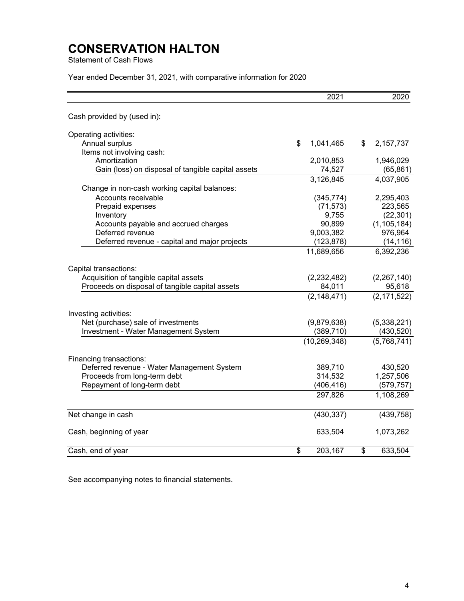Statement of Cash Flows

Year ended December 31, 2021, with comparative information for 2020

|                                                    | 2021            | 2020            |
|----------------------------------------------------|-----------------|-----------------|
| Cash provided by (used in):                        |                 |                 |
| Operating activities:                              |                 |                 |
| Annual surplus                                     | \$<br>1,041,465 | \$<br>2,157,737 |
| Items not involving cash:                          |                 |                 |
| Amortization                                       | 2,010,853       | 1,946,029       |
| Gain (loss) on disposal of tangible capital assets | 74,527          | (65, 861)       |
|                                                    | 3,126,845       | 4,037,905       |
| Change in non-cash working capital balances:       |                 |                 |
| Accounts receivable                                | (345, 774)      | 2,295,403       |
| Prepaid expenses                                   | (71, 573)       | 223,565         |
| Inventory                                          | 9,755           | (22, 301)       |
| Accounts payable and accrued charges               | 90,899          | (1, 105, 184)   |
| Deferred revenue                                   | 9,003,382       | 976,964         |
| Deferred revenue - capital and major projects      | (123, 878)      | (14, 116)       |
|                                                    | 11,689,656      | 6,392,236       |
| Capital transactions:                              |                 |                 |
| Acquisition of tangible capital assets             | (2,232,482)     | (2,267,140)     |
| Proceeds on disposal of tangible capital assets    | 84,011          | 95,618          |
|                                                    | (2, 148, 471)   | (2, 171, 522)   |
|                                                    |                 |                 |
| Investing activities:                              |                 |                 |
| Net (purchase) sale of investments                 | (9,879,638)     | (5,338,221)     |
| <b>Investment - Water Management System</b>        | (389, 710)      | (430, 520)      |
|                                                    | (10, 269, 348)  | (5,768,741)     |
| Financing transactions:                            |                 |                 |
| Deferred revenue - Water Management System         | 389,710         | 430,520         |
| Proceeds from long-term debt                       | 314,532         | 1,257,506       |
| Repayment of long-term debt                        | (406, 416)      | (579,757)       |
|                                                    | 297,826         | 1,108,269       |
|                                                    |                 |                 |
| Net change in cash                                 | (430, 337)      | (439, 758)      |
| Cash, beginning of year                            | 633,504         | 1,073,262       |
|                                                    |                 | \$              |
| Cash, end of year                                  | \$<br>203,167   | 633,504         |

See accompanying notes to financial statements.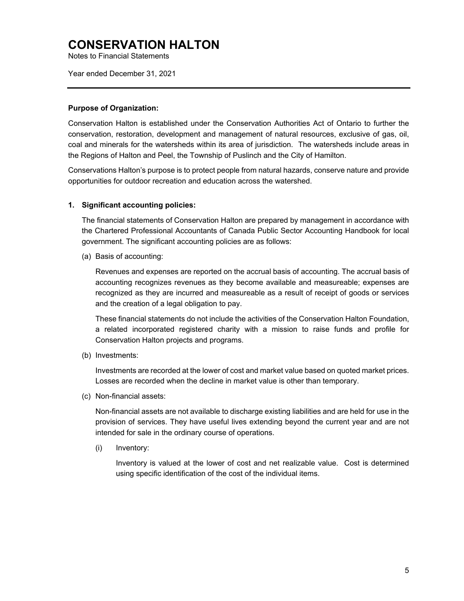Notes to Financial Statements

Year ended December 31, 2021

#### **Purpose of Organization:**

Conservation Halton is established under the Conservation Authorities Act of Ontario to further the conservation, restoration, development and management of natural resources, exclusive of gas, oil, coal and minerals for the watersheds within its area of jurisdiction. The watersheds include areas in the Regions of Halton and Peel, the Township of Puslinch and the City of Hamilton.

Conservations Halton's purpose is to protect people from natural hazards, conserve nature and provide opportunities for outdoor recreation and education across the watershed.

#### **1. Significant accounting policies:**

The financial statements of Conservation Halton are prepared by management in accordance with the Chartered Professional Accountants of Canada Public Sector Accounting Handbook for local government. The significant accounting policies are as follows:

(a) Basis of accounting:

Revenues and expenses are reported on the accrual basis of accounting. The accrual basis of accounting recognizes revenues as they become available and measureable; expenses are recognized as they are incurred and measureable as a result of receipt of goods or services and the creation of a legal obligation to pay.

These financial statements do not include the activities of the Conservation Halton Foundation, a related incorporated registered charity with a mission to raise funds and profile for Conservation Halton projects and programs.

(b) Investments:

 Investments are recorded at the lower of cost and market value based on quoted market prices. Losses are recorded when the decline in market value is other than temporary.

(c) Non-financial assets:

Non-financial assets are not available to discharge existing liabilities and are held for use in the provision of services. They have useful lives extending beyond the current year and are not intended for sale in the ordinary course of operations.

(i) Inventory:

Inventory is valued at the lower of cost and net realizable value. Cost is determined using specific identification of the cost of the individual items.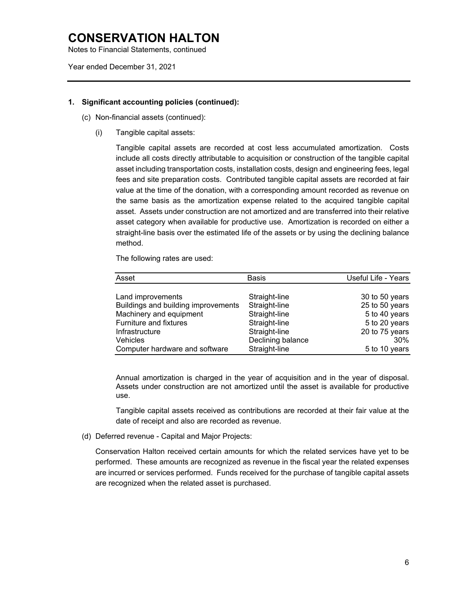Notes to Financial Statements, continued

Year ended December 31, 2021

#### **1. Significant accounting policies (continued):**

- (c) Non-financial assets (continued):
	- (i) Tangible capital assets:

Tangible capital assets are recorded at cost less accumulated amortization. Costs include all costs directly attributable to acquisition or construction of the tangible capital asset including transportation costs, installation costs, design and engineering fees, legal fees and site preparation costs. Contributed tangible capital assets are recorded at fair value at the time of the donation, with a corresponding amount recorded as revenue on the same basis as the amortization expense related to the acquired tangible capital asset. Assets under construction are not amortized and are transferred into their relative asset category when available for productive use. Amortization is recorded on either a straight-line basis over the estimated life of the assets or by using the declining balance method.

The following rates are used:

| Asset                               | <b>Basis</b>      | Useful Life - Years |
|-------------------------------------|-------------------|---------------------|
|                                     |                   |                     |
| Land improvements                   | Straight-line     | 30 to 50 years      |
| Buildings and building improvements | Straight-line     | 25 to 50 years      |
| Machinery and equipment             | Straight-line     | 5 to 40 years       |
| Furniture and fixtures              | Straight-line     | 5 to 20 years       |
| Infrastructure                      | Straight-line     | 20 to 75 years      |
| Vehicles                            | Declining balance | 30%                 |
| Computer hardware and software      | Straight-line     | 5 to 10 years       |

Annual amortization is charged in the year of acquisition and in the year of disposal. Assets under construction are not amortized until the asset is available for productive use.

Tangible capital assets received as contributions are recorded at their fair value at the date of receipt and also are recorded as revenue.

(d) Deferred revenue - Capital and Major Projects:

Conservation Halton received certain amounts for which the related services have yet to be performed. These amounts are recognized as revenue in the fiscal year the related expenses are incurred or services performed. Funds received for the purchase of tangible capital assets are recognized when the related asset is purchased.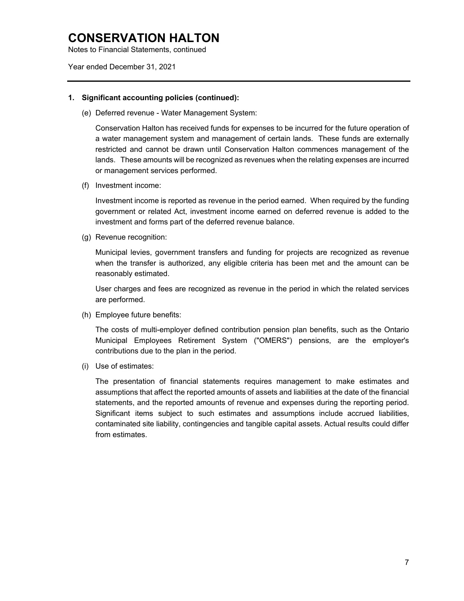Notes to Financial Statements, continued

Year ended December 31, 2021

#### **1. Significant accounting policies (continued):**

(e) Deferred revenue - Water Management System:

Conservation Halton has received funds for expenses to be incurred for the future operation of a water management system and management of certain lands. These funds are externally restricted and cannot be drawn until Conservation Halton commences management of the lands. These amounts will be recognized as revenues when the relating expenses are incurred or management services performed.

(f) Investment income:

Investment income is reported as revenue in the period earned. When required by the funding government or related Act, investment income earned on deferred revenue is added to the investment and forms part of the deferred revenue balance.

(g) Revenue recognition:

Municipal levies, government transfers and funding for projects are recognized as revenue when the transfer is authorized, any eligible criteria has been met and the amount can be reasonably estimated.

User charges and fees are recognized as revenue in the period in which the related services are performed.

(h) Employee future benefits:

The costs of multi-employer defined contribution pension plan benefits, such as the Ontario Municipal Employees Retirement System ("OMERS") pensions, are the employer's contributions due to the plan in the period.

(i) Use of estimates:

The presentation of financial statements requires management to make estimates and assumptions that affect the reported amounts of assets and liabilities at the date of the financial statements, and the reported amounts of revenue and expenses during the reporting period. Significant items subject to such estimates and assumptions include accrued liabilities, contaminated site liability, contingencies and tangible capital assets. Actual results could differ from estimates.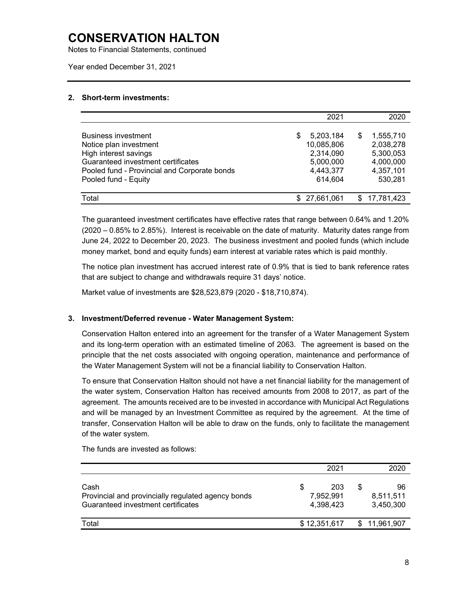Notes to Financial Statements, continued

Year ended December 31, 2021

#### **2. Short-term investments:**

|                                              | 2021                    |   | 2020       |
|----------------------------------------------|-------------------------|---|------------|
| Business investment                          | S                       | S | 1.555.710  |
| Notice plan investment                       | 5,203,184<br>10,085,806 |   | 2,038,278  |
| High interest savings                        | 2,314,090               |   | 5,300,053  |
| Guaranteed investment certificates           | 5,000,000               |   | 4,000,000  |
| Pooled fund - Provincial and Corporate bonds | 4,443,377               |   | 4,357,101  |
| Pooled fund - Equity                         | 614,604                 |   | 530,281    |
|                                              |                         |   |            |
| Total                                        | \$ 27.661.061           |   | 17,781,423 |

The guaranteed investment certificates have effective rates that range between 0.64% and 1.20% (2020 – 0.85% to 2.85%). Interest is receivable on the date of maturity. Maturity dates range from June 24, 2022 to December 20, 2023. The business investment and pooled funds (which include money market, bond and equity funds) earn interest at variable rates which is paid monthly.

The notice plan investment has accrued interest rate of 0.9% that is tied to bank reference rates that are subject to change and withdrawals require 31 days' notice.

Market value of investments are \$28,523,879 (2020 - \$18,710,874).

#### **3. Investment/Deferred revenue - Water Management System:**

Conservation Halton entered into an agreement for the transfer of a Water Management System and its long-term operation with an estimated timeline of 2063. The agreement is based on the principle that the net costs associated with ongoing operation, maintenance and performance of the Water Management System will not be a financial liability to Conservation Halton.

To ensure that Conservation Halton should not have a net financial liability for the management of the water system, Conservation Halton has received amounts from 2008 to 2017, as part of the agreement. The amounts received are to be invested in accordance with Municipal Act Regulations and will be managed by an Investment Committee as required by the agreement. At the time of transfer, Conservation Halton will be able to draw on the funds, only to facilitate the management of the water system.

|                                                                                                  | 2021                                |   | 2020                         |
|--------------------------------------------------------------------------------------------------|-------------------------------------|---|------------------------------|
| Cash<br>Provincial and provincially regulated agency bonds<br>Guaranteed investment certificates | \$<br>203<br>7,952,991<br>4.398.423 | S | 96<br>8,511,511<br>3,450,300 |
| Total                                                                                            | \$12,351,617                        |   | \$11,961,907                 |

The funds are invested as follows: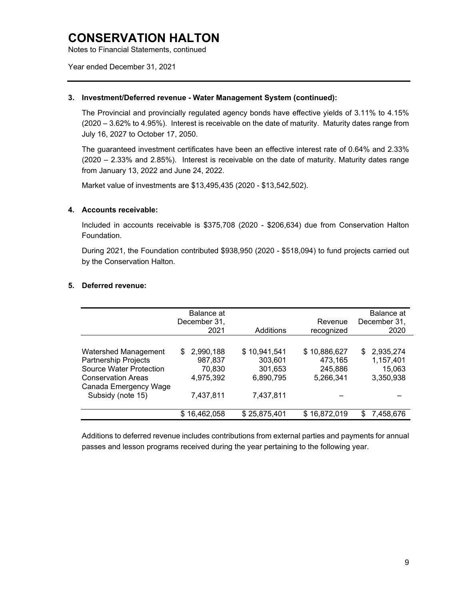Notes to Financial Statements, continued

Year ended December 31, 2021

#### **3. Investment/Deferred revenue - Water Management System (continued):**

The Provincial and provincially regulated agency bonds have effective yields of 3.11% to 4.15% (2020 – 3.62% to 4.95%). Interest is receivable on the date of maturity. Maturity dates range from July 16, 2027 to October 17, 2050.

The guaranteed investment certificates have been an effective interest rate of 0.64% and 2.33% (2020 – 2.33% and 2.85%). Interest is receivable on the date of maturity. Maturity dates range from January 13, 2022 and June 24, 2022.

Market value of investments are \$13,495,435 (2020 - \$13,542,502).

#### **4. Accounts receivable:**

Included in accounts receivable is \$375,708 (2020 - \$206,634) due from Conservation Halton Foundation.

During 2021, the Foundation contributed \$938,950 (2020 - \$518,094) to fund projects carried out by the Conservation Halton.

#### **5. Deferred revenue:**

|                                | Balance at<br>December 31,<br>2021 | Additions    | Revenue<br>recognized | Balance at<br>December 31,<br>2020 |
|--------------------------------|------------------------------------|--------------|-----------------------|------------------------------------|
|                                |                                    |              |                       |                                    |
| Watershed Management           | 2,990,188<br>S.                    | \$10,941,541 | \$10,886,627          | 2,935,274<br>S.                    |
| <b>Partnership Projects</b>    | 987,837                            | 303,601      | 473,165               | 1,157,401                          |
| <b>Source Water Protection</b> | 70,830                             | 301,653      | 245,886               | 15,063                             |
| <b>Conservation Areas</b>      | 4,975,392                          | 6,890,795    | 5,266,341             | 3,350,938                          |
| Canada Emergency Wage          |                                    |              |                       |                                    |
| Subsidy (note 15)              | 7,437,811                          | 7,437,811    |                       |                                    |
|                                | \$16,462,058                       | \$25,875,401 | \$16,872,019          | 7,458,676<br>S.                    |

Additions to deferred revenue includes contributions from external parties and payments for annual passes and lesson programs received during the year pertaining to the following year.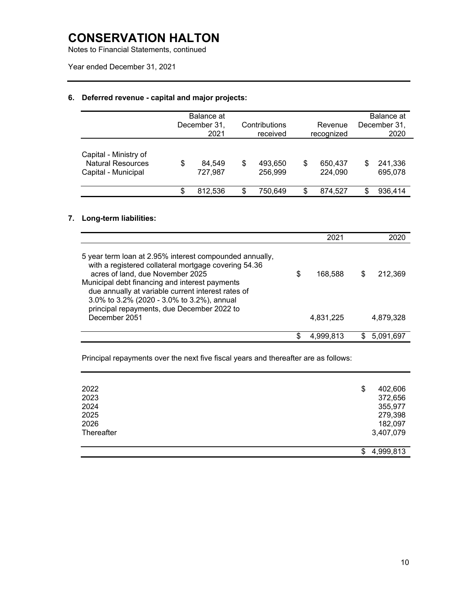Notes to Financial Statements, continued

Year ended December 31, 2021

## **6. Deferred revenue - capital and major projects:**

|                                                                          | Balance at<br>December 31,<br>2021 |    | Contributions<br>received |    | Revenue<br>recognized |   | Balance at<br>December 31.<br>2020 |
|--------------------------------------------------------------------------|------------------------------------|----|---------------------------|----|-----------------------|---|------------------------------------|
| Capital - Ministry of<br><b>Natural Resources</b><br>Capital - Municipal | \$<br>84.549<br>727,987            | \$ | 493,650<br>256,999        | \$ | 650.437<br>224,090    | S | 241,336<br>695,078                 |
|                                                                          | \$<br>812.536                      | S  | 750,649                   | .ፍ | 874,527               | S | 936,414                            |

### **7. Long-term liabilities:**

|                                                                                                                                                                                                                                                                                                                                                         |    | 2021      |   |           |
|---------------------------------------------------------------------------------------------------------------------------------------------------------------------------------------------------------------------------------------------------------------------------------------------------------------------------------------------------------|----|-----------|---|-----------|
| 5 year term loan at 2.95% interest compounded annually,<br>with a registered collateral mortgage covering 54.36<br>acres of land, due November 2025<br>Municipal debt financing and interest payments<br>due annually at variable current interest rates of<br>3.0% to 3.2% (2020 - 3.0% to 3.2%), annual<br>principal repayments, due December 2022 to | \$ | 168,588   | S | 212.369   |
| December 2051                                                                                                                                                                                                                                                                                                                                           |    | 4,831,225 |   | 4,879,328 |
|                                                                                                                                                                                                                                                                                                                                                         | S. | 4.999.813 |   | 5.091.697 |

Principal repayments over the next five fiscal years and thereafter are as follows:

| 2022       | \$ | 402,606   |
|------------|----|-----------|
| 2023       |    | 372,656   |
| 2024       |    | 355,977   |
| 2025       |    | 279,398   |
| 2026       |    | 182,097   |
| Thereafter |    | 3,407,079 |
|            |    |           |
|            | S  | 4,999,813 |
|            |    |           |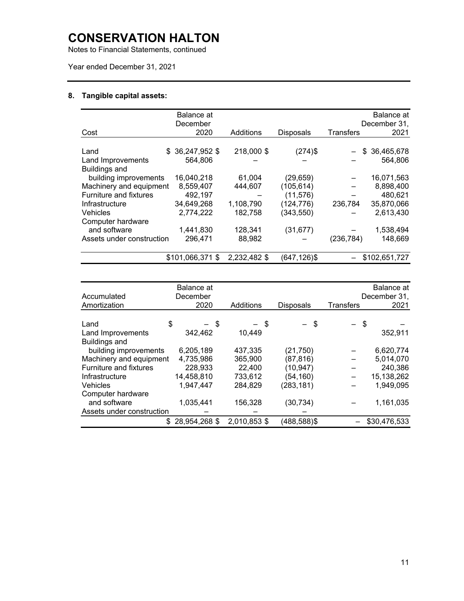Notes to Financial Statements, continued

Year ended December 31, 2021

### **8. Tangible capital assets:**

|                               | Balance at<br>December |              |                  |                  | Balance at<br>December 31, |
|-------------------------------|------------------------|--------------|------------------|------------------|----------------------------|
| Cost                          | 2020                   | Additions    | <b>Disposals</b> | <b>Transfers</b> | 2021                       |
|                               |                        |              |                  |                  |                            |
| Land<br>\$.                   | 36,247,952 \$          | 218,000 \$   | $(274)$ \$       |                  | \$36,465,678               |
| Land Improvements             | 564.806                |              |                  |                  | 564.806                    |
| <b>Buildings and</b>          |                        |              |                  |                  |                            |
| building improvements         | 16,040,218             | 61,004       | (29, 659)        |                  | 16,071,563                 |
| Machinery and equipment       | 8,559,407              | 444,607      | (105, 614)       |                  | 8,898,400                  |
| <b>Furniture and fixtures</b> | 492,197                |              | (11, 576)        |                  | 480,621                    |
| Infrastructure                | 34,649,268             | 1,108,790    | (124, 776)       | 236,784          | 35,870,066                 |
| <b>Vehicles</b>               | 2,774,222              | 182,758      | (343, 550)       |                  | 2,613,430                  |
| Computer hardware             |                        |              |                  |                  |                            |
| and software                  | 1,441,830              | 128,341      | (31, 677)        |                  | 1,538,494                  |
| Assets under construction     | 296,471                | 88,982       |                  | (236,784)        | 148,669                    |
|                               |                        |              |                  |                  |                            |
|                               | \$101,066,371 \$       | 2,232,482 \$ | (647,126)\$      |                  | \$102,651,727              |

| Accumulated<br>Amortization   | Balance at<br>December<br>2020 | Additions    | <b>Disposals</b> | <b>Transfers</b> | Balance at<br>December 31,<br>2021 |
|-------------------------------|--------------------------------|--------------|------------------|------------------|------------------------------------|
|                               |                                |              |                  |                  |                                    |
| \$<br>Land                    | - \$                           | $-$ \$       | - \$             | - \$             |                                    |
| Land Improvements             | 342,462                        | 10,449       |                  |                  | 352,911                            |
| <b>Buildings and</b>          |                                |              |                  |                  |                                    |
| building improvements         | 6,205,189                      | 437,335      | (21,750)         |                  | 6,620,774                          |
| Machinery and equipment       | 4,735,986                      | 365,900      | (87, 816)        |                  | 5,014,070                          |
| <b>Furniture and fixtures</b> | 228,933                        | 22,400       | (10, 947)        |                  | 240,386                            |
| Infrastructure                | 14,458,810                     | 733,612      | (54, 160)        |                  | 15,138,262                         |
| Vehicles                      | 1,947,447                      | 284,829      | (283, 181)       |                  | 1,949,095                          |
| Computer hardware             |                                |              |                  |                  |                                    |
| and software                  | 1,035,441                      | 156,328      | (30, 734)        |                  | 1,161,035                          |
| Assets under construction     |                                |              |                  |                  |                                    |
|                               | \$28,954,268                   | 2,010,853 \$ | (488,588)\$      |                  | \$30,476,533                       |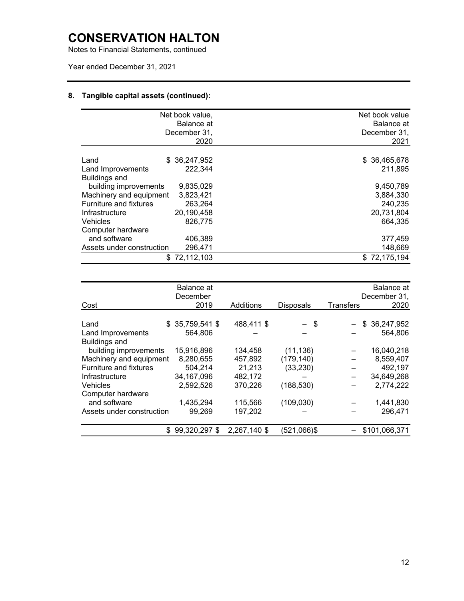Notes to Financial Statements, continued

### Year ended December 31, 2021

### **8. Tangible capital assets (continued):**

|                               | Net book value,<br>Balance at<br>December 31,<br>2020 | Net book value<br>Balance at<br>December 31,<br>2021 |
|-------------------------------|-------------------------------------------------------|------------------------------------------------------|
| Land<br>Land Improvements     | \$ 36,247,952<br>222,344                              | \$ 36,465,678<br>211,895                             |
| Buildings and                 |                                                       |                                                      |
| building improvements         | 9,835,029                                             | 9,450,789                                            |
| Machinery and equipment       | 3,823,421                                             | 3,884,330                                            |
| <b>Furniture and fixtures</b> | 263.264                                               | 240,235                                              |
| Infrastructure                | 20,190,458                                            | 20,731,804                                           |
| Vehicles                      | 826,775                                               | 664,335                                              |
| Computer hardware             |                                                       |                                                      |
| and software                  | 406,389                                               | 377,459                                              |
| Assets under construction     | 296,471                                               | 148,669                                              |
| S.                            | 72,112,103                                            | \$72,175,194                                         |

|                               | Balance at<br>December |              |                  | Balance at<br>December 31, |
|-------------------------------|------------------------|--------------|------------------|----------------------------|
| Cost                          | 2019                   | Additions    | <b>Disposals</b> | Transfers<br>2020          |
|                               |                        |              |                  |                            |
| Land                          | $$35,759,541$ \$       | 488,411 \$   | $-$ \$           | \$36,247,952               |
| Land Improvements             | 564,806                |              |                  | 564,806                    |
| <b>Buildings and</b>          |                        |              |                  |                            |
| building improvements         | 15,916,896             | 134,458      | (11, 136)        | 16,040,218                 |
| Machinery and equipment       | 8,280,655              | 457,892      | (179, 140)       | 8,559,407                  |
| <b>Furniture and fixtures</b> | 504,214                | 21,213       | (33, 230)        | 492,197                    |
| Infrastructure                | 34,167,096             | 482,172      |                  | 34,649,268                 |
| <b>Vehicles</b>               | 2,592,526              | 370,226      | (188, 530)       | 2,774,222                  |
| Computer hardware             |                        |              |                  |                            |
| and software                  | 1,435,294              | 115,566      | (109, 030)       | 1,441,830                  |
| Assets under construction     | 99,269                 | 197,202      |                  | 296,471                    |
|                               |                        |              |                  |                            |
| \$                            | 99,320,297 \$          | 2,267,140 \$ | $(521,066)$ \$   | \$101,066,371              |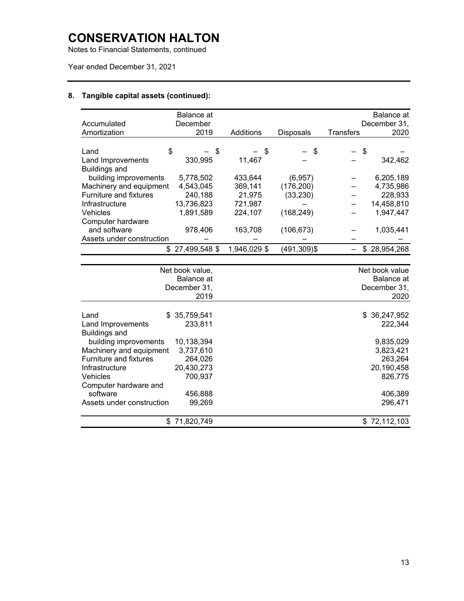Notes to Financial Statements, continued

### Year ended December 31, 2021

### **8. Tangible capital assets (continued):**

| Accumulated                   | <b>Balance</b> at<br>December |              |                  | <b>Balance</b> at<br>December 31, |
|-------------------------------|-------------------------------|--------------|------------------|-----------------------------------|
| Amortization                  | 2019                          | Additions    |                  | <b>Transfers</b><br>2020          |
|                               |                               |              | <b>Disposals</b> |                                   |
|                               |                               |              |                  |                                   |
| \$<br>Land                    |                               | \$<br>\$     | \$               | \$                                |
| Land Improvements             | 330,995                       | 11,467       |                  | 342,462                           |
| <b>Buildings and</b>          |                               |              |                  |                                   |
| building improvements         | 5,778,502                     | 433,644      | (6, 957)         | 6,205,189                         |
| Machinery and equipment       | 4,543,045                     | 369,141      | (176, 200)       | 4,735,986                         |
| <b>Furniture and fixtures</b> | 240,188                       | 21,975       | (33, 230)        | 228,933                           |
| Infrastructure                | 13,736,823                    | 721,987      |                  | 14,458,810                        |
| <b>Vehicles</b>               | 1,891,589                     | 224,107      | (168, 249)       | 1,947,447                         |
| Computer hardware             |                               |              |                  |                                   |
| and software                  | 978,406                       | 163,708      | (106, 673)       | 1,035,441                         |
| Assets under construction     |                               |              |                  |                                   |
|                               | \$27,499,548                  | 1,946,029 \$ | $(491, 309)$ \$  | \$28,954,268                      |
|                               |                               |              |                  |                                   |
|                               | Net book value,               |              |                  | Net book value                    |
|                               | <b>Balance</b> at             |              |                  | Balance at                        |
|                               | December 31,                  |              |                  | December 31,                      |
|                               | 2019                          |              |                  | 2020                              |
|                               |                               |              |                  |                                   |
| Land<br>\$                    | 35,759,541                    |              |                  | 36,247,952<br>\$                  |
| Land Improvements             | 233,811                       |              |                  | 222,344                           |
| <b>Buildings and</b>          |                               |              |                  |                                   |
| building improvements         | 10,138,394                    |              |                  | 9,835,029                         |
| Machinery and equipment       | 3,737,610                     |              |                  | 3,823,421                         |
| <b>Furniture and fixtures</b> | 264,026                       |              |                  | 263,264                           |
| Infrastructure                | 20,430,273                    |              |                  | 20,190,458                        |
| Vehicles                      | 700,937                       |              |                  | 826,775                           |
| Computer hardware and         |                               |              |                  |                                   |
| software                      | 456,888                       |              |                  | 406,389                           |
| Assets under construction     | 99,269                        |              |                  | 296,471                           |
|                               |                               |              |                  |                                   |
|                               | \$71,820,749                  |              |                  | \$72,112,103                      |
|                               |                               |              |                  |                                   |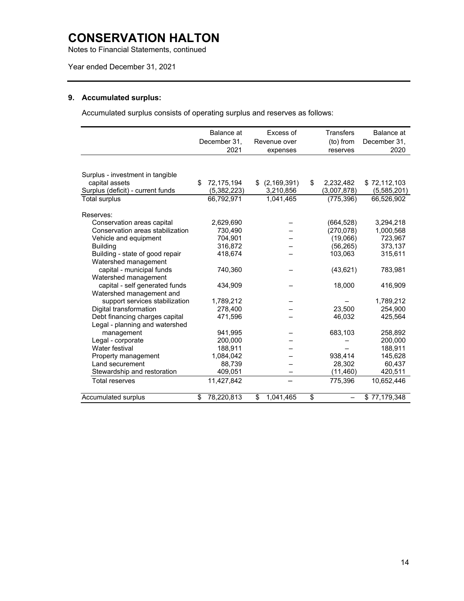Notes to Financial Statements, continued

### Year ended December 31, 2021

### **9. Accumulated surplus:**

Accumulated surplus consists of operating surplus and reserves as follows:

|                                   | Balance at       | Excess of           | <b>Transfers</b> | Balance at   |
|-----------------------------------|------------------|---------------------|------------------|--------------|
|                                   | December 31,     | Revenue over        | (to) from        | December 31, |
|                                   | 2021             | expenses            | reserves         | 2020         |
|                                   |                  |                     |                  |              |
| Surplus - investment in tangible  |                  |                     |                  |              |
| capital assets                    | \$<br>72,175,194 | \$<br>(2, 169, 391) | \$<br>2,232,482  | \$72,112,103 |
| Surplus (deficit) - current funds | (5,382,223)      | 3,210,856           | (3,007,878)      | (5,585,201)  |
| Total surplus                     | 66.792.971       | 1.041.465           | (775, 396)       | 66.526.902   |
|                                   |                  |                     |                  |              |
| Reserves:                         |                  |                     |                  |              |
| Conservation areas capital        | 2,629,690        |                     | (664,528)        | 3,294,218    |
| Conservation areas stabilization  | 730,490          |                     | (270, 078)       | 1,000,568    |
| Vehicle and equipment             | 704,901          |                     | (19,066)         | 723,967      |
| <b>Building</b>                   | 316,872          |                     | (56, 265)        | 373,137      |
| Building - state of good repair   | 418,674          |                     | 103,063          | 315,611      |
| Watershed management              |                  |                     |                  |              |
| capital - municipal funds         | 740,360          |                     | (43, 621)        | 783,981      |
| Watershed management              |                  |                     |                  |              |
| capital - self generated funds    | 434,909          |                     | 18,000           | 416,909      |
| Watershed management and          |                  |                     |                  |              |
| support services stabilization    | 1,789,212        |                     |                  | 1.789.212    |
| Digital transformation            | 278,400          |                     | 23.500           | 254,900      |
| Debt financing charges capital    | 471,596          |                     | 46,032           | 425,564      |
| Legal - planning and watershed    |                  |                     |                  |              |
| management                        | 941,995          |                     | 683,103          | 258,892      |
| Legal - corporate                 | 200,000          |                     |                  | 200,000      |
| Water festival                    | 188,911          |                     |                  | 188,911      |
| Property management               | 1,084,042        |                     | 938,414          | 145,628      |
| Land securement                   | 88,739           |                     | 28,302           | 60,437       |
| Stewardship and restoration       | 409,051          |                     | (11,460)         | 420,511      |
| <b>Total reserves</b>             | 11,427,842       |                     | 775,396          | 10.652.446   |
| Accumulated surplus               | \$<br>78,220,813 | \$<br>1,041,465     | \$               | \$77,179,348 |
|                                   |                  |                     |                  |              |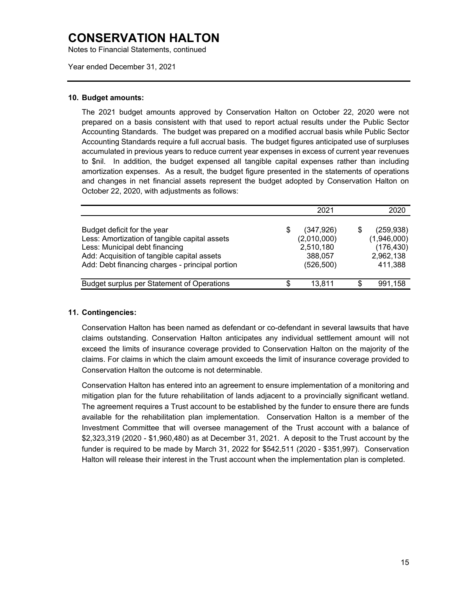Notes to Financial Statements, continued

Year ended December 31, 2021

#### **10. Budget amounts:**

The 2021 budget amounts approved by Conservation Halton on October 22, 2020 were not prepared on a basis consistent with that used to report actual results under the Public Sector Accounting Standards. The budget was prepared on a modified accrual basis while Public Sector Accounting Standards require a full accrual basis. The budget figures anticipated use of surpluses accumulated in previous years to reduce current year expenses in excess of current year revenues to \$nil. In addition, the budget expensed all tangible capital expenses rather than including amortization expenses. As a result, the budget figure presented in the statements of operations and changes in net financial assets represent the budget adopted by Conservation Halton on October 22, 2020, with adjustments as follows:

|                                                                                                                                                                                                                  | 2021                                                            | 2020                                                            |
|------------------------------------------------------------------------------------------------------------------------------------------------------------------------------------------------------------------|-----------------------------------------------------------------|-----------------------------------------------------------------|
| Budget deficit for the year<br>Less: Amortization of tangible capital assets<br>Less: Municipal debt financing<br>Add: Acquisition of tangible capital assets<br>Add: Debt financing charges - principal portion | (347, 926)<br>(2,010,000)<br>2,510,180<br>388,057<br>(526, 500) | (259, 938)<br>(1,946,000)<br>(176, 430)<br>2,962,138<br>411,388 |
| Budget surplus per Statement of Operations                                                                                                                                                                       | 13.811                                                          | 991.158                                                         |

#### **11. Contingencies:**

Conservation Halton has been named as defendant or co-defendant in several lawsuits that have claims outstanding. Conservation Halton anticipates any individual settlement amount will not exceed the limits of insurance coverage provided to Conservation Halton on the majority of the claims. For claims in which the claim amount exceeds the limit of insurance coverage provided to Conservation Halton the outcome is not determinable.

Conservation Halton has entered into an agreement to ensure implementation of a monitoring and mitigation plan for the future rehabilitation of lands adjacent to a provincially significant wetland. The agreement requires a Trust account to be established by the funder to ensure there are funds available for the rehabilitation plan implementation. Conservation Halton is a member of the Investment Committee that will oversee management of the Trust account with a balance of \$2,323,319 (2020 - \$1,960,480) as at December 31, 2021. A deposit to the Trust account by the funder is required to be made by March 31, 2022 for \$542,511 (2020 - \$351,997). Conservation Halton will release their interest in the Trust account when the implementation plan is completed.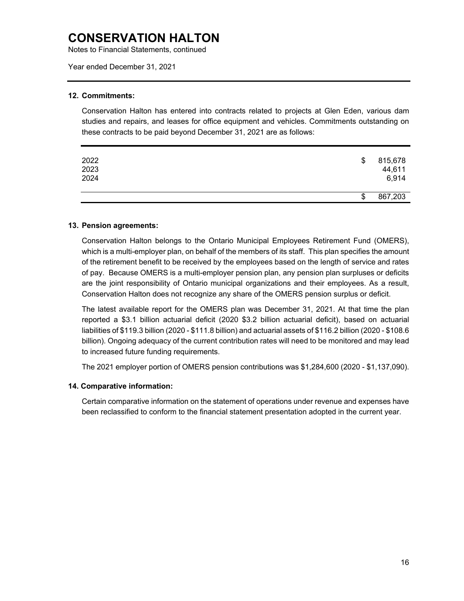Notes to Financial Statements, continued

Year ended December 31, 2021

#### **12. Commitments:**

Conservation Halton has entered into contracts related to projects at Glen Eden, various dam studies and repairs, and leases for office equipment and vehicles. Commitments outstanding on these contracts to be paid beyond December 31, 2021 are as follows:

| 2022<br>2023<br>2024 | \$<br>815,678<br>44,611<br>6,914 |
|----------------------|----------------------------------|
|                      | \$<br>867,203                    |

#### **13. Pension agreements:**

Conservation Halton belongs to the Ontario Municipal Employees Retirement Fund (OMERS), which is a multi-employer plan, on behalf of the members of its staff. This plan specifies the amount of the retirement benefit to be received by the employees based on the length of service and rates of pay. Because OMERS is a multi-employer pension plan, any pension plan surpluses or deficits are the joint responsibility of Ontario municipal organizations and their employees. As a result, Conservation Halton does not recognize any share of the OMERS pension surplus or deficit.

The latest available report for the OMERS plan was December 31, 2021. At that time the plan reported a \$3.1 billion actuarial deficit (2020 \$3.2 billion actuarial deficit), based on actuarial liabilities of \$119.3 billion (2020 - \$111.8 billion) and actuarial assets of \$116.2 billion (2020 - \$108.6 billion). Ongoing adequacy of the current contribution rates will need to be monitored and may lead to increased future funding requirements.

The 2021 employer portion of OMERS pension contributions was \$1,284,600 (2020 - \$1,137,090).

#### **14. Comparative information:**

Certain comparative information on the statement of operations under revenue and expenses have been reclassified to conform to the financial statement presentation adopted in the current year.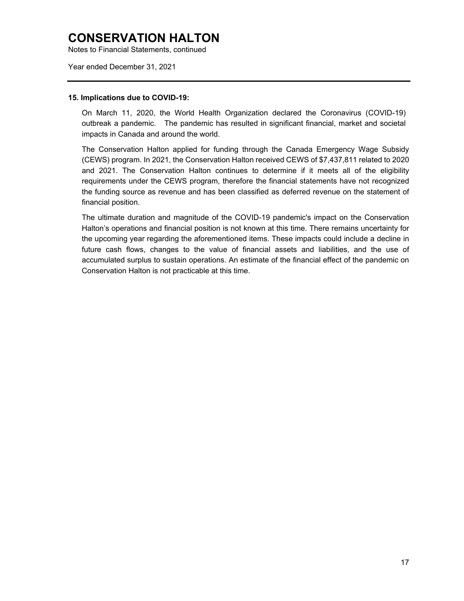Notes to Financial Statements, continued

Year ended December 31, 2021

#### **15. Implications due to COVID-19:**

On March 11, 2020, the World Health Organization declared the Coronavirus (COVID-19) outbreak a pandemic. The pandemic has resulted in significant financial, market and societal impacts in Canada and around the world.

The Conservation Halton applied for funding through the Canada Emergency Wage Subsidy (CEWS) program. In 2021, the Conservation Halton received CEWS of \$7,437,811 related to 2020 and 2021. The Conservation Halton continues to determine if it meets all of the eligibility requirements under the CEWS program, therefore the financial statements have not recognized the funding source as revenue and has been classified as deferred revenue on the statement of financial position.

The ultimate duration and magnitude of the COVID-19 pandemic's impact on the Conservation Halton's operations and financial position is not known at this time. There remains uncertainty for the upcoming year regarding the aforementioned items. These impacts could include a decline in future cash flows, changes to the value of financial assets and liabilities, and the use of accumulated surplus to sustain operations. An estimate of the financial effect of the pandemic on Conservation Halton is not practicable at this time.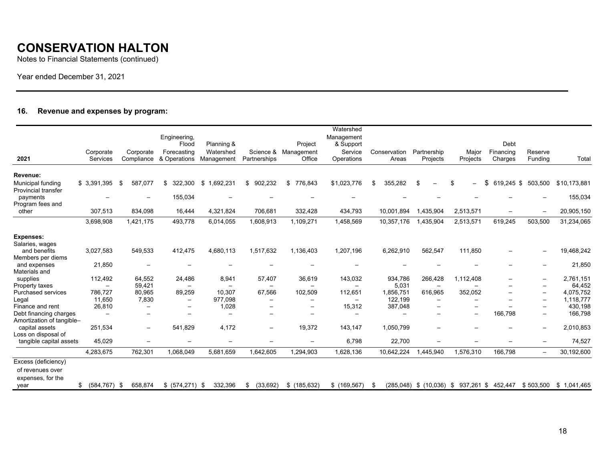Notes to Financial Statements (continued)

Year ended December 31, 2021

### **16. Revenue and expenses by program:**

| 2021                                                        | Corporate<br>Services    | Corporate<br>Compliance  | Engineering,<br>Flood<br>Forecasting<br>& Operations | Planning &<br>Watershed<br>Management | Partnerships             | Project<br>Science & Management<br>Office | Watershed<br>Management<br>& Support<br>Service<br>Operations | Conservation<br>Areas | Partnership<br>Projects        | Major<br>Projects              | Debt<br>Financing<br>Charges | Reserve<br>Funding       | Total        |
|-------------------------------------------------------------|--------------------------|--------------------------|------------------------------------------------------|---------------------------------------|--------------------------|-------------------------------------------|---------------------------------------------------------------|-----------------------|--------------------------------|--------------------------------|------------------------------|--------------------------|--------------|
|                                                             |                          |                          |                                                      |                                       |                          |                                           |                                                               |                       |                                |                                |                              |                          |              |
| Revenue:<br>Municipal funding<br><b>Provincial transfer</b> | \$3,391,395              | 587.077<br>\$            | \$<br>322,300                                        | \$<br>1,692,231                       | \$902,232                | \$776.843                                 | \$1,023,776                                                   | 355.282<br>\$         | \$<br>$\overline{\phantom{m}}$ | \$<br>$\overline{\phantom{0}}$ | \$<br>619.245 \$             | 503,500                  | \$10,173,881 |
| payments<br>Program fees and                                |                          | $\overline{\phantom{0}}$ | 155,034                                              |                                       |                          |                                           |                                                               |                       |                                |                                |                              |                          | 155,034      |
| other                                                       | 307,513                  | 834,098                  | 16,444                                               | 4,321,824                             | 706,681                  | 332,428                                   | 434,793                                                       | 10,001,894            | 1,435,904                      | 2,513,571                      | $\overline{\phantom{0}}$     | $\overline{\phantom{0}}$ | 20,905,150   |
|                                                             | 3,698,908                | 1,421,175                | 493,778                                              | 6,014,055                             | 1,608,913                | 1,109,271                                 | 1,458,569                                                     | 10,357,176            | 1,435,904                      | 2,513,571                      | 619,245                      | 503,500                  | 31,234,065   |
| <b>Expenses:</b>                                            |                          |                          |                                                      |                                       |                          |                                           |                                                               |                       |                                |                                |                              |                          |              |
| Salaries, wages                                             |                          |                          |                                                      |                                       |                          |                                           |                                                               |                       |                                |                                |                              |                          |              |
| and benefits                                                | 3,027,583                | 549,533                  | 412,475                                              | 4,680,113                             | 1,517,632                | 1,136,403                                 | 1,207,196                                                     | 6,262,910             | 562,547                        | 111,850                        |                              | $\overline{\phantom{a}}$ | 19,468,242   |
| Members per diems<br>and expenses                           | 21,850                   | $-$                      |                                                      |                                       |                          |                                           |                                                               |                       |                                |                                |                              |                          | 21,850       |
| Materials and                                               |                          |                          |                                                      |                                       |                          |                                           |                                                               |                       |                                |                                |                              |                          |              |
| supplies                                                    | 112,492                  | 64,552                   | 24,486                                               | 8,941                                 | 57,407                   | 36,619                                    | 143,032                                                       | 934,786               | 266,428                        | 1,112,408                      |                              | $\overline{\phantom{0}}$ | 2,761,151    |
| Property taxes                                              |                          | 59,421                   | $-$                                                  |                                       |                          | $\overline{\phantom{0}}$                  | $\overline{\phantom{0}}$                                      | 5,031                 | $\overline{\phantom{0}}$       |                                |                              |                          | 64,452       |
| <b>Purchased services</b>                                   | 786.727                  | 80,965                   | 89,259                                               | 10.307                                | 67,566                   | 102,509                                   | 112,651                                                       | 1,856,751             | 616,965                        | 352,052                        |                              | $\overline{\phantom{m}}$ | 4,075,752    |
| Legal                                                       | 11,650                   | 7,830                    | $\overline{\phantom{a}}$                             | 977,098                               |                          |                                           |                                                               | 122,199               |                                |                                |                              | $\overline{\phantom{0}}$ | 1,118,777    |
| Finance and rent                                            | 26,810                   | $\overline{\phantom{0}}$ | $\overline{\phantom{0}}$                             | 1,028                                 |                          |                                           | 15,312                                                        | 387,048               |                                |                                |                              |                          | 430,198      |
| Debt financing charges                                      | $\overline{\phantom{a}}$ | $\equiv$                 |                                                      | $\equiv$                              |                          | $\equiv$                                  | $\overline{\phantom{0}}$                                      |                       |                                | $\equiv$                       | 166,798                      | $\overline{\phantom{0}}$ | 166,798      |
| Amortization of tangible-                                   |                          |                          |                                                      |                                       |                          |                                           |                                                               |                       |                                |                                |                              |                          |              |
| capital assets                                              | 251,534                  | $\overline{\phantom{0}}$ | 541,829                                              | 4,172                                 | $\overline{\phantom{a}}$ | 19,372                                    | 143,147                                                       | 1,050,799             |                                |                                |                              | $\overline{\phantom{a}}$ | 2,010,853    |
| Loss on disposal of<br>tangible capital assets              | 45,029                   |                          |                                                      |                                       |                          |                                           | 6,798                                                         | 22,700                | $\overline{\phantom{0}}$       |                                |                              |                          | 74,527       |
|                                                             |                          |                          |                                                      |                                       |                          |                                           |                                                               |                       |                                |                                |                              |                          |              |
|                                                             | 4,283,675                | 762,301                  | 1,068,049                                            | 5,681,659                             | 1,642,605                | 1,294,903                                 | 1,628,136                                                     | 10,642,224            | 1,445,940                      | 1,576,310                      | 166,798                      | $\overline{\phantom{m}}$ | 30,192,600   |
| Excess (deficiency)                                         |                          |                          |                                                      |                                       |                          |                                           |                                                               |                       |                                |                                |                              |                          |              |
| of revenues over                                            |                          |                          |                                                      |                                       |                          |                                           |                                                               |                       |                                |                                |                              |                          |              |
| expenses, for the<br>year                                   | $(584, 767)$ \$<br>\$    | 658,874                  | \$ (574,271)                                         | 332,396<br>-\$                        | (33,692)<br>\$           | \$(185, 632)                              | \$(169, 567)                                                  |                       | $(285.048)$ \$ $(10.036)$      | 937,261 \$<br>- \$             | 452,447                      | \$503,500                | \$1,041,465  |